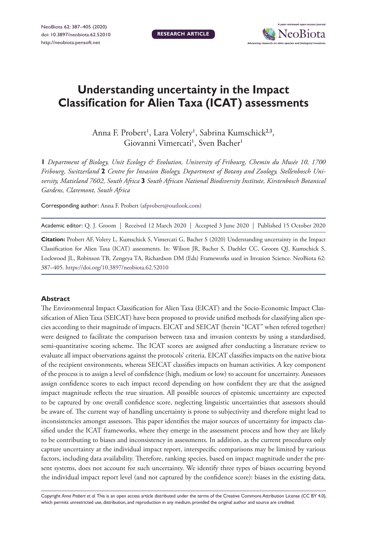**Research article**



# **Understanding uncertainty in the Impact Classification for Alien Taxa (ICAT) assessments**

Anna F. Probert', Lara Volery', Sabrina Kumschick<sup>2,3</sup>, Giovanni Vimercati<sup>1</sup>, Sven Bacher<sup>1</sup>

**1** *Department of Biology, Unit Ecology & Evolution, University of Fribourg, Chemin du Musée 10, 1700 Fribourg, Switzerland* **2** *Centre for Invasion Biology, Department of Botany and Zoology, Stellenbosch University, Matieland 7602, South Africa* **3** *South African National Biodiversity Institute, Kirstenbosch Botanical Gardens, Claremont, South Africa*

Corresponding author: Anna F. Probert [\(afprobert@outlook.com\)](mailto:afprobert@outlook.com)

Academic editor: Q. J. Groom | Received 12 March 2020 | Accepted 3 June 2020 | Published 15 October 2020

**Citation:** Probert AF, Volery L, Kumschick S, Vimercati G, Bacher S (2020) Understanding uncertainty in the Impact Classification for Alien Taxa (ICAT) assessments. In: Wilson JR, Bacher S, Daehler CC, Groom QJ, Kumschick S, Lockwood JL, Robinson TB, Zengeya TA, Richardson DM (Eds) Frameworks used in Invasion Science. NeoBiota 62: 387–405. <https://doi.org/10.3897/neobiota.62.52010>

#### **Abstract**

The Environmental Impact Classification for Alien Taxa (EICAT) and the Socio-Economic Impact Classification of Alien Taxa (SEICAT) have been proposed to provide unified methods for classifying alien species according to their magnitude of impacts. EICAT and SEICAT (herein "ICAT" when refered together) were designed to facilitate the comparison between taxa and invasion contexts by using a standardised, semi-quantitative scoring scheme. The ICAT scores are assigned after conducting a literature review to evaluate all impact observations against the protocols' criteria. EICAT classifies impacts on the native biota of the recipient environments, whereas SEICAT classifies impacts on human activities. A key component of the process is to assign a level of confidence (high, medium or low) to account for uncertainty. Assessors assign confidence scores to each impact record depending on how confident they are that the assigned impact magnitude reflects the true situation. All possible sources of epistemic uncertainty are expected to be captured by one overall confidence score, neglecting linguistic uncertainties that assessors should be aware of. The current way of handling uncertainty is prone to subjectivity and therefore might lead to inconsistencies amongst assessors. This paper identifies the major sources of uncertainty for impacts classified under the ICAT frameworks, where they emerge in the assessment process and how they are likely to be contributing to biases and inconsistency in assessments. In addition, as the current procedures only capture uncertainty at the individual impact report, interspecific comparisons may be limited by various factors, including data availability. Therefore, ranking species, based on impact magnitude under the present systems, does not account for such uncertainty. We identify three types of biases occurring beyond the individual impact report level (and not captured by the confidence score): biases in the existing data,

Copyright *Anna Probert et al.* This is an open access article distributed under the terms of the [Creative Commons Attribution License \(CC BY 4.0\)](http://creativecommons.org/licenses/by/4.0/), which permits unrestricted use, distribution, and reproduction in any medium, provided the original author and source are credited.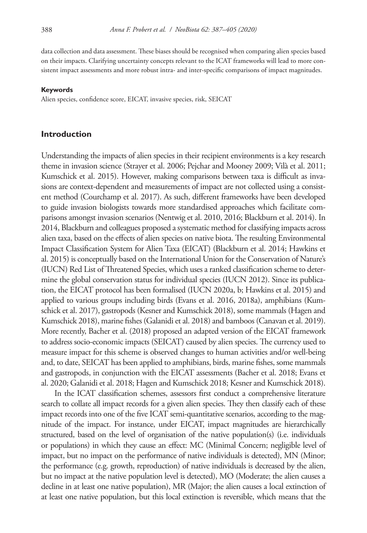data collection and data assessment. These biases should be recognised when comparing alien species based on their impacts. Clarifying uncertainty concepts relevant to the ICAT frameworks will lead to more consistent impact assessments and more robust intra- and inter-specific comparisons of impact magnitudes.

#### **Keywords**

Alien species, confidence score, EICAT, invasive species, risk, SEICAT

#### **Introduction**

Understanding the impacts of alien species in their recipient environments is a key research theme in invasion science (Strayer et al. 2006; Pejchar and Mooney 2009; Vilà et al. 2011; Kumschick et al. 2015). However, making comparisons between taxa is difficult as invasions are context-dependent and measurements of impact are not collected using a consistent method (Courchamp et al. 2017). As such, different frameworks have been developed to guide invasion biologists towards more standardised approaches which facilitate comparisons amongst invasion scenarios (Nentwig et al. 2010, 2016; Blackburn et al. 2014). In 2014, Blackburn and colleagues proposed a systematic method for classifying impacts across alien taxa, based on the effects of alien species on native biota. The resulting Environmental Impact Classification System for Alien Taxa (EICAT) (Blackburn et al. 2014; Hawkins et al. 2015) is conceptually based on the International Union for the Conservation of Nature's (IUCN) Red List of Threatened Species, which uses a ranked classification scheme to determine the global conservation status for individual species (IUCN 2012). Since its publication, the EICAT protocol has been formalised (IUCN 2020a, b; Hawkins et al. 2015) and applied to various groups including birds (Evans et al. 2016, 2018a), amphibians (Kumschick et al. 2017), gastropods (Kesner and Kumschick 2018), some mammals (Hagen and Kumschick 2018), marine fishes (Galanidi et al. 2018) and bamboos (Canavan et al. 2019). More recently, Bacher et al. (2018) proposed an adapted version of the EICAT framework to address socio-economic impacts (SEICAT) caused by alien species. The currency used to measure impact for this scheme is observed changes to human activities and/or well-being and, to date, SEICAT has been applied to amphibians, birds, marine fishes, some mammals and gastropods, in conjunction with the EICAT assessments (Bacher et al. 2018; Evans et al. 2020; Galanidi et al. 2018; Hagen and Kumschick 2018; Kesner and Kumschick 2018).

In the ICAT classification schemes, assessors first conduct a comprehensive literature search to collate all impact records for a given alien species. They then classify each of these impact records into one of the five ICAT semi-quantitative scenarios, according to the magnitude of the impact. For instance, under EICAT, impact magnitudes are hierarchically structured, based on the level of organisation of the native population(s) (i.e. individuals or populations) in which they cause an effect: MC (Minimal Concern; negligible level of impact, but no impact on the performance of native individuals is detected), MN (Minor; the performance (e.g. growth, reproduction) of native individuals is decreased by the alien, but no impact at the native population level is detected), MO (Moderate; the alien causes a decline in at least one native population), MR (Major; the alien causes a local extinction of at least one native population, but this local extinction is reversible, which means that the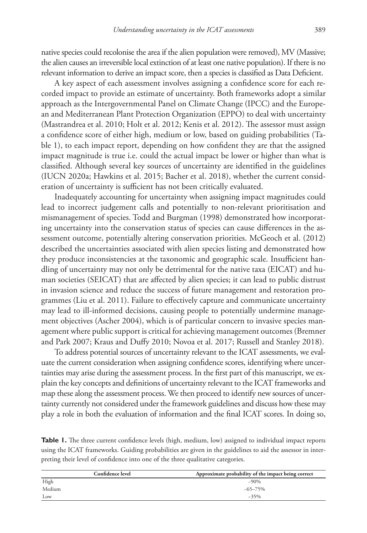native species could recolonise the area if the alien population were removed), MV (Massive; the alien causes an irreversible local extinction of at least one native population). If there is no relevant information to derive an impact score, then a species is classified as Data Deficient.

A key aspect of each assessment involves assigning a confidence score for each recorded impact to provide an estimate of uncertainty. Both frameworks adopt a similar approach as the Intergovernmental Panel on Climate Change (IPCC) and the European and Mediterranean Plant Protection Organization (EPPO) to deal with uncertainty (Mastrandrea et al. 2010; Holt et al. 2012; Kenis et al. 2012). The assessor must assign a confidence score of either high, medium or low, based on guiding probabilities (Table 1), to each impact report, depending on how confident they are that the assigned impact magnitude is true i.e. could the actual impact be lower or higher than what is classified. Although several key sources of uncertainty are identified in the guidelines (IUCN 2020a; Hawkins et al. 2015; Bacher et al. 2018), whether the current consideration of uncertainty is sufficient has not been critically evaluated.

Inadequately accounting for uncertainty when assigning impact magnitudes could lead to incorrect judgement calls and potentially to non-relevant prioritisation and mismanagement of species. Todd and Burgman (1998) demonstrated how incorporating uncertainty into the conservation status of species can cause differences in the assessment outcome, potentially altering conservation priorities. McGeoch et al. (2012) described the uncertainties associated with alien species listing and demonstrated how they produce inconsistencies at the taxonomic and geographic scale. Insufficient handling of uncertainty may not only be detrimental for the native taxa (EICAT) and human societies (SEICAT) that are affected by alien species; it can lead to public distrust in invasion science and reduce the success of future management and restoration programmes (Liu et al. 2011). Failure to effectively capture and communicate uncertainty may lead to ill-informed decisions, causing people to potentially undermine management objectives (Ascher 2004), which is of particular concern to invasive species management where public support is critical for achieving management outcomes (Bremner and Park 2007; Kraus and Duffy 2010; Novoa et al. 2017; Russell and Stanley 2018).

To address potential sources of uncertainty relevant to the ICAT assessments, we evaluate the current consideration when assigning confidence scores, identifying where uncertainties may arise during the assessment process. In the first part of this manuscript, we explain the key concepts and definitions of uncertainty relevant to the ICAT frameworks and map these along the assessment process. We then proceed to identify new sources of uncertainty currently not considered under the framework guidelines and discuss how these may play a role in both the evaluation of information and the final ICAT scores. In doing so,

**Table 1.** The three current confidence levels (high, medium, low) assigned to individual impact reports using the ICAT frameworks. Guiding probabilities are given in the guidelines to aid the assessor in interpreting their level of confidence into one of the three qualitative categories.

|        | <b>Confidence level</b> | Approximate probability of the impact being correct |
|--------|-------------------------|-----------------------------------------------------|
| High   |                         | $-90\%$                                             |
| Medium |                         | $-65 - 75\%$                                        |
| Low    |                         | $-35%$                                              |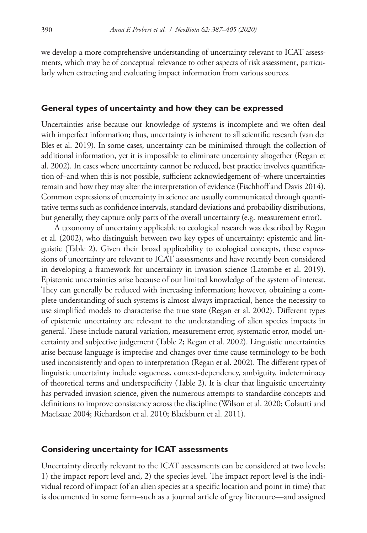we develop a more comprehensive understanding of uncertainty relevant to ICAT assessments, which may be of conceptual relevance to other aspects of risk assessment, particularly when extracting and evaluating impact information from various sources.

#### **General types of uncertainty and how they can be expressed**

Uncertainties arise because our knowledge of systems is incomplete and we often deal with imperfect information; thus, uncertainty is inherent to all scientific research (van der Bles et al. 2019). In some cases, uncertainty can be minimised through the collection of additional information, yet it is impossible to eliminate uncertainty altogether (Regan et al. 2002). In cases where uncertainty cannot be reduced, best practice involves quantification of–and when this is not possible, sufficient acknowledgement of–where uncertainties remain and how they may alter the interpretation of evidence (Fischhoff and Davis 2014). Common expressions of uncertainty in science are usually communicated through quantitative terms such as confidence intervals, standard deviations and probability distributions, but generally, they capture only parts of the overall uncertainty (e.g. measurement error).

A taxonomy of uncertainty applicable to ecological research was described by Regan et al. (2002), who distinguish between two key types of uncertainty: epistemic and linguistic (Table 2). Given their broad applicability to ecological concepts, these expressions of uncertainty are relevant to ICAT assessments and have recently been considered in developing a framework for uncertainty in invasion science (Latombe et al. 2019). Epistemic uncertainties arise because of our limited knowledge of the system of interest. They can generally be reduced with increasing information; however, obtaining a complete understanding of such systems is almost always impractical, hence the necessity to use simplified models to characterise the true state (Regan et al. 2002). Different types of epistemic uncertainty are relevant to the understanding of alien species impacts in general. These include natural variation, measurement error, systematic error, model uncertainty and subjective judgement (Table 2; Regan et al. 2002). Linguistic uncertainties arise because language is imprecise and changes over time cause terminology to be both used inconsistently and open to interpretation (Regan et al. 2002). The different types of linguistic uncertainty include vagueness, context-dependency, ambiguity, indeterminacy of theoretical terms and underspecificity (Table 2). It is clear that linguistic uncertainty has pervaded invasion science, given the numerous attempts to standardise concepts and definitions to improve consistency across the discipline (Wilson et al. 2020; Colautti and MacIsaac 2004; Richardson et al. 2010; Blackburn et al. 2011).

#### **Considering uncertainty for ICAT assessments**

Uncertainty directly relevant to the ICAT assessments can be considered at two levels: 1) the impact report level and, 2) the species level. The impact report level is the individual record of impact (of an alien species at a specific location and point in time) that is documented in some form–such as a journal article of grey literature—and assigned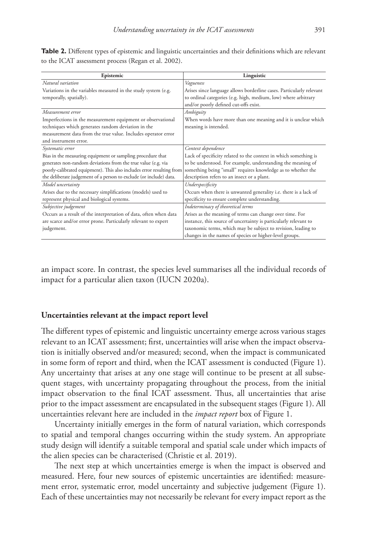| Epistemic                                                                                 | Linguistic                                                                                                                                                                      |
|-------------------------------------------------------------------------------------------|---------------------------------------------------------------------------------------------------------------------------------------------------------------------------------|
| Natural variation                                                                         | Vagueness                                                                                                                                                                       |
| Variations in the variables measured in the study system (e.g.<br>temporally, spatially). | Arises since language allows borderline cases. Particularly relevant<br>to ordinal categories (e.g. high, medium, low) where arbitrary<br>and/or poorly defined cut-offs exist. |
| Measurement error                                                                         | Ambiguity                                                                                                                                                                       |
| Imperfections in the measurement equipment or observational                               | When words have more than one meaning and it is unclear which                                                                                                                   |
| techniques which generates random deviation in the                                        | meaning is intended.                                                                                                                                                            |
| measurement data from the true value. Includes operator error                             |                                                                                                                                                                                 |
| and instrument error.                                                                     |                                                                                                                                                                                 |
| Systematic error                                                                          | Context dependence                                                                                                                                                              |
| Bias in the measuring equipment or sampling procedure that                                | Lack of specificity related to the context in which something is                                                                                                                |
| generates non-random deviations from the true value (e.g. via                             | to be understood. For example, understanding the meaning of                                                                                                                     |
| poorly-calibrated equipment). This also includes error resulting from                     | something being "small" requires knowledge as to whether the                                                                                                                    |
| the deliberate judgement of a person to exclude (or include) data.                        | description refers to an insect or a plant.                                                                                                                                     |
| Model uncertainty                                                                         | Underspecificity                                                                                                                                                                |
| Arises due to the necessary simplifications (models) used to                              | Occurs when there is unwanted generality i.e. there is a lack of                                                                                                                |
| represent physical and biological systems.                                                | specificity to ensure complete understanding.                                                                                                                                   |
| Subjective judgement                                                                      | Indeterminacy of theoretical terms                                                                                                                                              |
| Occurs as a result of the interpretation of data, often when data                         | Arises as the meaning of terms can change over time. For                                                                                                                        |
| are scarce and/or error prone. Particularly relevant to expert                            | instance, this source of uncertainty is particularly relevant to                                                                                                                |
| judgement.                                                                                | taxonomic terms, which may be subject to revision, leading to                                                                                                                   |
|                                                                                           | changes in the names of species or higher-level groups.                                                                                                                         |

**Table 2.** Different types of epistemic and linguistic uncertainties and their definitions which are relevant to the ICAT assessment process (Regan et al. 2002).

an impact score. In contrast, the species level summarises all the individual records of impact for a particular alien taxon (IUCN 2020a).

## **Uncertainties relevant at the impact report level**

The different types of epistemic and linguistic uncertainty emerge across various stages relevant to an ICAT assessment; first, uncertainties will arise when the impact observation is initially observed and/or measured; second, when the impact is communicated in some form of report and third, when the ICAT assessment is conducted (Figure 1). Any uncertainty that arises at any one stage will continue to be present at all subsequent stages, with uncertainty propagating throughout the process, from the initial impact observation to the final ICAT assessment. Thus, all uncertainties that arise prior to the impact assessment are encapsulated in the subsequent stages (Figure 1). All uncertainties relevant here are included in the *impact report* box of Figure 1.

Uncertainty initially emerges in the form of natural variation, which corresponds to spatial and temporal changes occurring within the study system. An appropriate study design will identify a suitable temporal and spatial scale under which impacts of the alien species can be characterised (Christie et al. 2019).

The next step at which uncertainties emerge is when the impact is observed and measured. Here, four new sources of epistemic uncertainties are identified: measurement error, systematic error, model uncertainty and subjective judgement (Figure 1). Each of these uncertainties may not necessarily be relevant for every impact report as the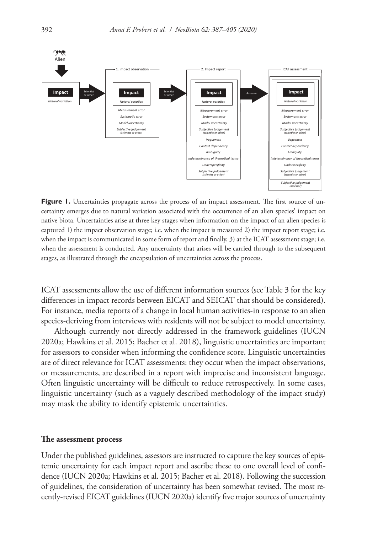

**Figure 1.** Uncertainties propagate across the process of an impact assessment. The first source of uncertainty emerges due to natural variation associated with the occurrence of an alien species' impact on native biota. Uncertainties arise at three key stages when information on the impact of an alien species is captured 1) the impact observation stage; i.e. when the impact is measured 2) the impact report stage; i.e. when the impact is communicated in some form of report and finally, 3) at the ICAT assessment stage; i.e. when the assessment is conducted. Any uncertainty that arises will be carried through to the subsequent stages, as illustrated through the encapsulation of uncertainties across the process.

ICAT assessments allow the use of different information sources (see Table 3 for the key differences in impact records between EICAT and SEICAT that should be considered). For instance, media reports of a change in local human activities-in response to an alien species-deriving from interviews with residents will not be subject to model uncertainty.

Although currently not directly addressed in the framework guidelines (IUCN 2020a; Hawkins et al. 2015; Bacher et al. 2018), linguistic uncertainties are important for assessors to consider when informing the confidence score. Linguistic uncertainties are of direct relevance for ICAT assessments: they occur when the impact observations, or measurements, are described in a report with imprecise and inconsistent language. Often linguistic uncertainty will be difficult to reduce retrospectively. In some cases, linguistic uncertainty (such as a vaguely described methodology of the impact study) may mask the ability to identify epistemic uncertainties.

#### **The assessment process**

Under the published guidelines, assessors are instructed to capture the key sources of epistemic uncertainty for each impact report and ascribe these to one overall level of confidence (IUCN 2020a; Hawkins et al. 2015; Bacher et al. 2018). Following the succession of guidelines, the consideration of uncertainty has been somewhat revised. The most recently-revised EICAT guidelines (IUCN 2020a) identify five major sources of uncertainty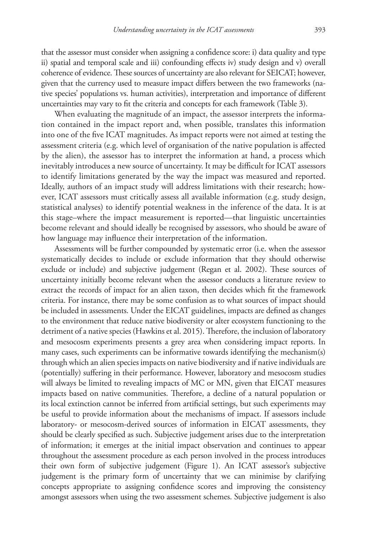that the assessor must consider when assigning a confidence score: i) data quality and type ii) spatial and temporal scale and iii) confounding effects iv) study design and v) overall coherence of evidence. These sources of uncertainty are also relevant for SEICAT; however, given that the currency used to measure impact differs between the two frameworks (native species' populations vs. human activities), interpretation and importance of different uncertainties may vary to fit the criteria and concepts for each framework (Table 3).

When evaluating the magnitude of an impact, the assessor interprets the information contained in the impact report and, when possible, translates this information into one of the five ICAT magnitudes. As impact reports were not aimed at testing the assessment criteria (e.g. which level of organisation of the native population is affected by the alien), the assessor has to interpret the information at hand, a process which inevitably introduces a new source of uncertainty. It may be difficult for ICAT assessors to identify limitations generated by the way the impact was measured and reported. Ideally, authors of an impact study will address limitations with their research; however, ICAT assessors must critically assess all available information (e.g. study design, statistical analyses) to identify potential weakness in the inference of the data. It is at this stage–where the impact measurement is reported—that linguistic uncertainties become relevant and should ideally be recognised by assessors, who should be aware of how language may influence their interpretation of the information.

Assessments will be further compounded by systematic error (i.e. when the assessor systematically decides to include or exclude information that they should otherwise exclude or include) and subjective judgement (Regan et al. 2002). These sources of uncertainty initially become relevant when the assessor conducts a literature review to extract the records of impact for an alien taxon, then decides which fit the framework criteria. For instance, there may be some confusion as to what sources of impact should be included in assessments. Under the EICAT guidelines, impacts are defined as changes to the environment that reduce native biodiversity or alter ecosystem functioning to the detriment of a native species (Hawkins et al. 2015). Therefore, the inclusion of laboratory and mesocosm experiments presents a grey area when considering impact reports. In many cases, such experiments can be informative towards identifying the mechanism(s) through which an alien species impacts on native biodiversity and if native individuals are (potentially) suffering in their performance. However, laboratory and mesocosm studies will always be limited to revealing impacts of MC or MN, given that EICAT measures impacts based on native communities. Therefore, a decline of a natural population or its local extinction cannot be inferred from artificial settings, but such experiments may be useful to provide information about the mechanisms of impact. If assessors include laboratory- or mesocosm-derived sources of information in EICAT assessments, they should be clearly specified as such. Subjective judgement arises due to the interpretation of information; it emerges at the initial impact observation and continues to appear throughout the assessment procedure as each person involved in the process introduces their own form of subjective judgement (Figure 1). An ICAT assessor's subjective judgement is the primary form of uncertainty that we can minimise by clarifying concepts appropriate to assigning confidence scores and improving the consistency amongst assessors when using the two assessment schemes. Subjective judgement is also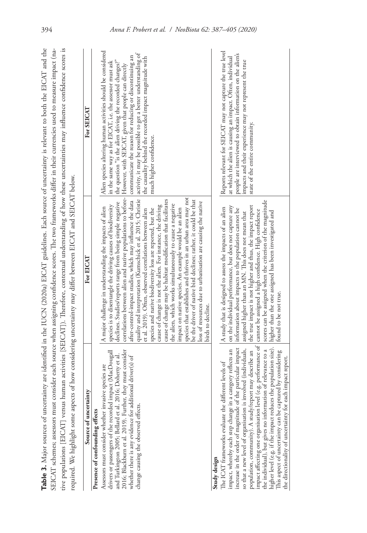|                                                                                                                                                                                                                                                                                                                                                                                                                                                                                                                                                                                                                                                         |                                                                                                                                                                                                                                                                                                                                                                                                                                                                                                                                                                                                                                                                                                                                                                                                                                                                                                                                                                                                                                                  | Table 3. Major sources of uncertainty are identified in the IUCN (2020a) EICAT guidelines. Each source of uncertainty is relevant to both the EICAT and the                                                                                                                                                                                                                                             |
|---------------------------------------------------------------------------------------------------------------------------------------------------------------------------------------------------------------------------------------------------------------------------------------------------------------------------------------------------------------------------------------------------------------------------------------------------------------------------------------------------------------------------------------------------------------------------------------------------------------------------------------------------------|--------------------------------------------------------------------------------------------------------------------------------------------------------------------------------------------------------------------------------------------------------------------------------------------------------------------------------------------------------------------------------------------------------------------------------------------------------------------------------------------------------------------------------------------------------------------------------------------------------------------------------------------------------------------------------------------------------------------------------------------------------------------------------------------------------------------------------------------------------------------------------------------------------------------------------------------------------------------------------------------------------------------------------------------------|---------------------------------------------------------------------------------------------------------------------------------------------------------------------------------------------------------------------------------------------------------------------------------------------------------------------------------------------------------------------------------------------------------|
|                                                                                                                                                                                                                                                                                                                                                                                                                                                                                                                                                                                                                                                         |                                                                                                                                                                                                                                                                                                                                                                                                                                                                                                                                                                                                                                                                                                                                                                                                                                                                                                                                                                                                                                                  | SEICAT schemes; assessors must consider each source when assigning confidence scores. The two frameworks differ in their currencies used to measure impact (na-<br>tive populations [EICAT] versus human activities [SEICAT]). Therefore, contextual understanding of how these uncertainties may influence confidence scores is                                                                        |
|                                                                                                                                                                                                                                                                                                                                                                                                                                                                                                                                                                                                                                                         | required. We highlight some aspects of how considering uncertainty may differ between EICAT and SEICAT below.                                                                                                                                                                                                                                                                                                                                                                                                                                                                                                                                                                                                                                                                                                                                                                                                                                                                                                                                    |                                                                                                                                                                                                                                                                                                                                                                                                         |
| Source of uncertainty                                                                                                                                                                                                                                                                                                                                                                                                                                                                                                                                                                                                                                   | For EICAT                                                                                                                                                                                                                                                                                                                                                                                                                                                                                                                                                                                                                                                                                                                                                                                                                                                                                                                                                                                                                                        | For SEICAT                                                                                                                                                                                                                                                                                                                                                                                              |
| 2016; Blackburn et al. 2019). Further, they must consider<br>drivers or passengers of the recorded impact (MacDougall<br>and Turkington 2005; Bellard et al. 2016; Doherty et al.<br>whether there is any evidence for additional driver(s) of<br>Assessors must consider whether invasive species are<br>change causing the observed effects.<br>Presence of confounding effects                                                                                                                                                                                                                                                                       | correlations between alien and native populations to before- However, with SEICAT, given that people can directly<br>quality and interpretation (Kumschick et al. 2015; Christie<br>species that establishes and thrives in an urban area may not<br>after-control-impact studies, which may influence the data<br>be the driver of native bird declines; rather, it could be that<br>cause of change may be habitat modification that facilitates<br>declines. Studies/reports range from being simple negative<br>loss of resources due to urbanisation are causing the native<br>the alien, which works simultaneously to cause a negative<br>species is to disentangle the driving causes of biodiversity<br>cause of change is not the alien. For instance, the driving<br>A major challenge in understanding the impacts of alien<br>species and native biodiversity loss are reported, but the<br>impact on native species. An example would be an alien<br>et al. 2019). Often, observed correlations between alien<br>birds to decline. | Alien species altering human activities should be considered<br>activity, it may be possible to get a better understanding of<br>communicate the reason for reducing or discontinuing an<br>the causality behind the recorded impact magnitude with<br>in the same way as for EICAT, i.e. the assessor must ask<br>the question "is the alien driving the recorded changes?"<br>much higher confidence. |
| impact affecting one organisation level (e.g. performance of<br>increase in the order of magnitude of the particular impact<br>higher level (e.g. if the impact reduces the population size).<br>so that a new level of organisation is involved (individuals,<br>impact, whereby each step change in a category reflects an<br>the individual), but gives no information of relevance to a<br>population, community). A study/report may describe an<br>This aspect of uncertainty can be captured by considering<br>the directionality of uncertainty for each impact report.<br>The ICAT frameworks evaluate the different levels of<br>Study design | scores can be assigned when the criterion of the magnitude<br>the true impact is not higher and thus, the impact report<br>on the individual performance, but does not capture any<br>A study that is designed to assess the impacts of an alien<br>information about impacts to the population cannot be<br>cannot be assigned a high confidence. High confidence<br>higher than the one assigned has been investigated and<br>assigned higher than an MN. This does not mean that<br>found to be not true.                                                                                                                                                                                                                                                                                                                                                                                                                                                                                                                                     | Reports relevant for SEICAT may not capture the true level<br>people are interviewed to obtain information on the alien's<br>at which the alien is causing an impact. Often, individual<br>impacts and their experience may not represent the true<br>state of the entire community.                                                                                                                    |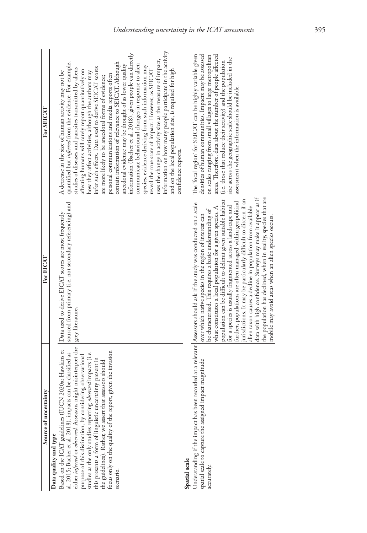| Source of uncertainty                                                                                                                                                                                                                                                                                                                                                                                                                                                                                                                                 | For EICAT                                                                                                                                                                                                                                                                                                                                                                                                                                                                                                                                                                                                                                                                                                | For SEICAT                                                                                                                                                                                                                                                                                                                                                                                                                                                                                                                                                                                                                                                                                                                                                                                                                                                                                                                                                                                                                       |
|-------------------------------------------------------------------------------------------------------------------------------------------------------------------------------------------------------------------------------------------------------------------------------------------------------------------------------------------------------------------------------------------------------------------------------------------------------------------------------------------------------------------------------------------------------|----------------------------------------------------------------------------------------------------------------------------------------------------------------------------------------------------------------------------------------------------------------------------------------------------------------------------------------------------------------------------------------------------------------------------------------------------------------------------------------------------------------------------------------------------------------------------------------------------------------------------------------------------------------------------------------------------------|----------------------------------------------------------------------------------------------------------------------------------------------------------------------------------------------------------------------------------------------------------------------------------------------------------------------------------------------------------------------------------------------------------------------------------------------------------------------------------------------------------------------------------------------------------------------------------------------------------------------------------------------------------------------------------------------------------------------------------------------------------------------------------------------------------------------------------------------------------------------------------------------------------------------------------------------------------------------------------------------------------------------------------|
| either inferred or observed. Assessors might misinterpret the<br>2020a; Hawkins et<br>given the invasion<br>studies as the only studies reporting observed impacts (i.e.<br>al. 2015; Bacher et al. 2018), impacts can be classified as<br>purpose of this distinction, by considering observational<br>this presents a form of linguistic uncertainty present in<br>the guidelines). Rather, we assert that assessors should<br>Based on the ICAT guidelines (IUCN<br>focus only on the quality of the report,<br>Data quality and type<br>scenario. | sourced from primary (i.e. not secondary referencing) and<br>Data used to derive EICAT scores are most frequently<br>grey literature.                                                                                                                                                                                                                                                                                                                                                                                                                                                                                                                                                                    | information on how many people participate in the activity<br>information (Bacher et al. 2018), given people can directly<br>uses the change in activity size as the measure of impact,<br>quantified but inferred from the evidence. For example,<br>contain information of relevance to SEICAT. Although<br>communicate behavioural changes in response to alien<br>anecdotal evidence may be thought of as lower quality<br>species, evidence deriving from such information may<br>infer such effects. Data used to derive SEICAT scores<br>studies of diseases and parasites transmitted by aliens<br>and on the local population size, is required for high<br>affecting humans will rarely report quantitatively on<br>how they affect activities, although the authors may<br>reveal the true state of impact. However, as SEICAT<br>A decrease in the size of human activity may not be<br>personal communications and media reports often<br>are more likely to be anecdotal forms of evidence;<br>confidence reports. |
| Understanding if the impact has been recorded at a relevant Assessors should ask if the study was conducted on a scale<br>spatial scale to capture the assigned impact magnitude<br>Spatial scale<br>accurately.                                                                                                                                                                                                                                                                                                                                      | data with high confidence. Surveys may make it appear as if<br>the population has declined, when in reality, species that are<br>population can be difficult to delimit given suitable habitat<br>jurisdictions. It may be particularly difficult to discern if an<br>further, populations are often managed within geopolitical<br>for a species is usually fragmented across a landscape and<br>alien taxon causes a decline in population from available<br>what constitutes a local population for a given species. A<br>be characterised. This requires a basic understanding of<br>over which native species in the region of interest can<br>mobile may avoid areas when an alien species occurs. | The 'focal region' for SEICAT can be highly variable given<br>densities of human communities. Impacts may be assessed<br>on scales ranging from small villages to large metropolitan<br>areas. Therefore, data about the number of people affected<br>size across the geographic scale should be included in the<br>(i.e. those that reduce their activity) and the population<br>assessment when the information is available.                                                                                                                                                                                                                                                                                                                                                                                                                                                                                                                                                                                                  |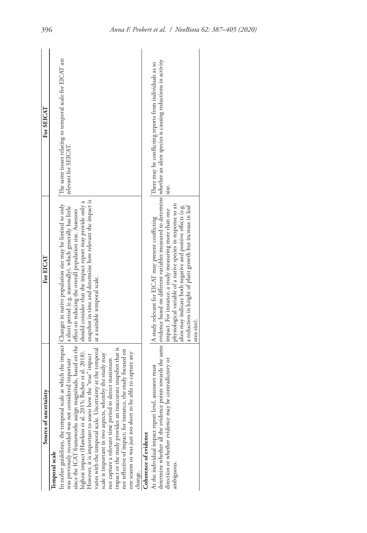| Source of uncertainty                                                                                                                                                                                                                                                                                                                                                                                                                                                                                                                                                                                                                                                                                                                                                       | For EICAT                                                                                                                                                                                                                                                                                                                                                                                                                                                                | For SEICAT                                                                       |
|-----------------------------------------------------------------------------------------------------------------------------------------------------------------------------------------------------------------------------------------------------------------------------------------------------------------------------------------------------------------------------------------------------------------------------------------------------------------------------------------------------------------------------------------------------------------------------------------------------------------------------------------------------------------------------------------------------------------------------------------------------------------------------|--------------------------------------------------------------------------------------------------------------------------------------------------------------------------------------------------------------------------------------------------------------------------------------------------------------------------------------------------------------------------------------------------------------------------------------------------------------------------|----------------------------------------------------------------------------------|
| n earlier guidelines, the temporal scale at which the impact Changes in native population size may be limited to only<br>since the ICAT frameworks assign magnitude, based on the effect on reducing the overall population size. Assessors<br>varies with the temporal scale. Uncertainty at the temporal<br>scale is important in two aspects, whereby the study may<br>mpact or the study provides an inaccurate snapshot that is<br>not reflective of impact; for instance, the study focused on<br>However, it is important to assess how the "true" impact<br>one season or was just too short to be able to capture any<br>was previously recorded was not considered important<br>not capture a relevant time period to detect maximum<br>Temporal scale<br>change. | snapshot in time and determine how relevant the impact is<br>a short period (e.g. seasonally), which generally has little<br>at a suitable temporal scale.                                                                                                                                                                                                                                                                                                               | The same issues relating to temporal scale for EICAT are<br>relevant for SEICAT. |
| contradictory or<br>At the individual impact report level, assessors must<br>determine whether all the evidence poi<br>direction or whether evidence may be<br>Coherence of evidence<br>ambiguous.                                                                                                                                                                                                                                                                                                                                                                                                                                                                                                                                                                          | ints towards the same [evidence based on different variables measured to determine whether an alien species is causing reductions in activity<br>physiological variable of a native species in response to an<br>alien may indicate both negative and positive effects (e.g.<br>a reduction in height of plant growth but increase in leaf<br>impact. For instance, a study measuring more than one<br>A study relevant for EICAT may present conflicting<br>area size). | There may be conflicting reports from individuals as to<br>size.                 |
|                                                                                                                                                                                                                                                                                                                                                                                                                                                                                                                                                                                                                                                                                                                                                                             |                                                                                                                                                                                                                                                                                                                                                                                                                                                                          |                                                                                  |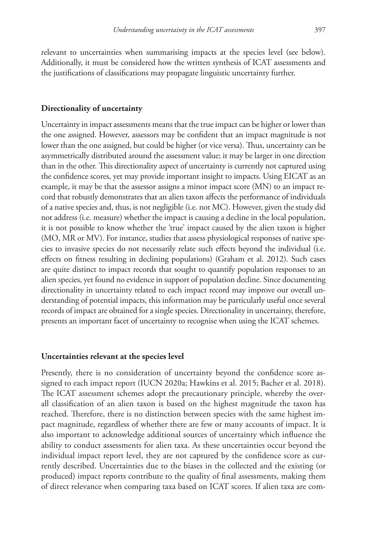relevant to uncertainties when summarising impacts at the species level (see below). Additionally, it must be considered how the written synthesis of ICAT assessments and the justifications of classifications may propagate linguistic uncertainty further.

#### **Directionality of uncertainty**

Uncertainty in impact assessments means that the true impact can be higher or lower than the one assigned. However, assessors may be confident that an impact magnitude is not lower than the one assigned, but could be higher (or vice versa). Thus, uncertainty can be asymmetrically distributed around the assessment value; it may be larger in one direction than in the other. This directionality aspect of uncertainty is currently not captured using the confidence scores, yet may provide important insight to impacts. Using EICAT as an example, it may be that the assessor assigns a minor impact score (MN) to an impact record that robustly demonstrates that an alien taxon affects the performance of individuals of a native species and, thus, is not negligible (i.e. not MC). However, given the study did not address (i.e. measure) whether the impact is causing a decline in the local population, it is not possible to know whether the 'true' impact caused by the alien taxon is higher (MO, MR or MV). For instance, studies that assess physiological responses of native species to invasive species do not necessarily relate such effects beyond the individual (i.e. effects on fitness resulting in declining populations) (Graham et al. 2012). Such cases are quite distinct to impact records that sought to quantify population responses to an alien species, yet found no evidence in support of population decline. Since documenting directionality in uncertainty related to each impact record may improve our overall understanding of potential impacts, this information may be particularly useful once several records of impact are obtained for a single species. Directionality in uncertainty, therefore, presents an important facet of uncertainty to recognise when using the ICAT schemes.

#### **Uncertainties relevant at the species level**

Presently, there is no consideration of uncertainty beyond the confidence score assigned to each impact report (IUCN 2020a; Hawkins et al. 2015; Bacher et al. 2018). The ICAT assessment schemes adopt the precautionary principle, whereby the overall classification of an alien taxon is based on the highest magnitude the taxon has reached. Therefore, there is no distinction between species with the same highest impact magnitude, regardless of whether there are few or many accounts of impact. It is also important to acknowledge additional sources of uncertainty which influence the ability to conduct assessments for alien taxa. As these uncertainties occur beyond the individual impact report level, they are not captured by the confidence score as currently described. Uncertainties due to the biases in the collected and the existing (or produced) impact reports contribute to the quality of final assessments, making them of direct relevance when comparing taxa based on ICAT scores. If alien taxa are com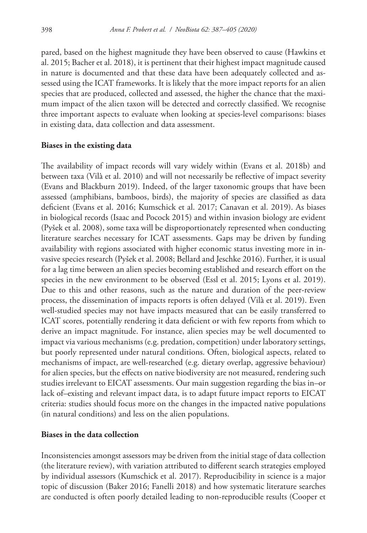pared, based on the highest magnitude they have been observed to cause (Hawkins et al. 2015; Bacher et al. 2018), it is pertinent that their highest impact magnitude caused in nature is documented and that these data have been adequately collected and assessed using the ICAT frameworks. It is likely that the more impact reports for an alien species that are produced, collected and assessed, the higher the chance that the maximum impact of the alien taxon will be detected and correctly classified. We recognise three important aspects to evaluate when looking at species-level comparisons: biases in existing data, data collection and data assessment.

## **Biases in the existing data**

The availability of impact records will vary widely within (Evans et al. 2018b) and between taxa (Vilà et al. 2010) and will not necessarily be reflective of impact severity (Evans and Blackburn 2019). Indeed, of the larger taxonomic groups that have been assessed (amphibians, bamboos, birds), the majority of species are classified as data deficient (Evans et al. 2016; Kumschick et al. 2017; Canavan et al. 2019). As biases in biological records (Isaac and Pocock 2015) and within invasion biology are evident (Pyšek et al. 2008), some taxa will be disproportionately represented when conducting literature searches necessary for ICAT assessments. Gaps may be driven by funding availability with regions associated with higher economic status investing more in invasive species research (Pyšek et al. 2008; Bellard and Jeschke 2016). Further, it is usual for a lag time between an alien species becoming established and research effort on the species in the new environment to be observed (Essl et al. 2015; Lyons et al. 2019). Due to this and other reasons, such as the nature and duration of the peer-review process, the dissemination of impacts reports is often delayed (Vilà et al. 2019). Even well-studied species may not have impacts measured that can be easily transferred to ICAT scores, potentially rendering it data deficient or with few reports from which to derive an impact magnitude. For instance, alien species may be well documented to impact via various mechanisms (e.g. predation, competition) under laboratory settings, but poorly represented under natural conditions. Often, biological aspects, related to mechanisms of impact, are well-researched (e.g. dietary overlap, aggressive behaviour) for alien species, but the effects on native biodiversity are not measured, rendering such studies irrelevant to EICAT assessments. Our main suggestion regarding the bias in–or lack of–existing and relevant impact data, is to adapt future impact reports to EICAT criteria: studies should focus more on the changes in the impacted native populations (in natural conditions) and less on the alien populations.

# **Biases in the data collection**

Inconsistencies amongst assessors may be driven from the initial stage of data collection (the literature review), with variation attributed to different search strategies employed by individual assessors (Kumschick et al. 2017). Reproducibility in science is a major topic of discussion (Baker 2016; Fanelli 2018) and how systematic literature searches are conducted is often poorly detailed leading to non-reproducible results (Cooper et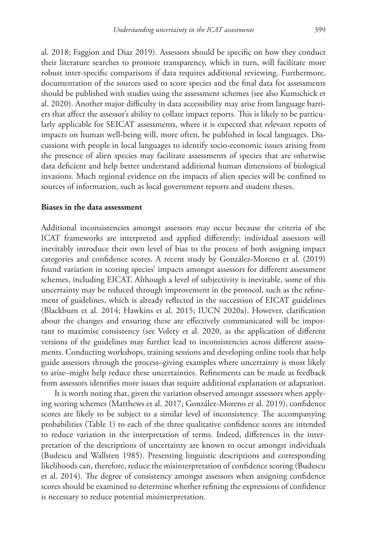al. 2018; Faggion and Diaz 2019). Assessors should be specific on how they conduct their literature searches to promote transparency, which in turn, will facilitate more robust inter-specific comparisons if data requires additional reviewing. Furthermore, documentation of the sources used to score species and the final data for assessments should be published with studies using the assessment schemes (see also Kumschick et al. 2020). Another major difficulty in data accessibility may arise from language barriers that affect the assessor's ability to collate impact reports. This is likely to be particularly applicable for SEICAT assessments, where it is expected that relevant reports of impacts on human well-being will, more often, be published in local languages. Discussions with people in local languages to identify socio-economic issues arising from the presence of alien species may facilitate assessments of species that are otherwise data deficient and help better understand additional human dimensions of biological invasions. Much regional evidence on the impacts of alien species will be confined to sources of information, such as local government reports and student theses.

## **Biases in the data assessment**

Additional inconsistencies amongst assessors may occur because the criteria of the ICAT frameworks are interpreted and applied differently; individual assessors will inevitably introduce their own level of bias to the process of both assigning impact categories and confidence scores. A recent study by González-Moreno et al. (2019) found variation in scoring species' impacts amongst assessors for different assessment schemes, including EICAT. Although a level of subjectivity is inevitable, some of this uncertainty may be reduced through improvement in the protocol, such as the refinement of guidelines, which is already reflected in the succession of EICAT guidelines (Blackburn et al. 2014; Hawkins et al. 2015; IUCN 2020a). However, clarification about the changes and ensuring these are effectively communicated will be important to maximise consistency (see Volery et al. 2020, as the application of different versions of the guidelines may further lead to inconsistencies across different assessments. Conducting workshops, training sessions and developing online tools that help guide assessors through the process–giving examples where uncertainty is most likely to arise–might help reduce these uncertainties. Refinements can be made as feedback from assessors identifies more issues that require additional explanation or adaptation.

It is worth noting that, given the variation observed amongst assessors when applying scoring schemes (Matthews et al. 2017; González-Moreno et al. 2019), confidence scores are likely to be subject to a similar level of inconsistency. The accompanying probabilities (Table 1) to each of the three qualitative confidence scores are intended to reduce variation in the interpretation of terms. Indeed, differences in the interpretation of the descriptions of uncertainty are known to occur amongst individuals (Budescu and Wallsten 1985). Presenting linguistic descriptions and corresponding likelihoods can, therefore, reduce the misinterpretation of confidence scoring (Budescu et al. 2014). The degree of consistency amongst assessors when assigning confidence scores should be examined to determine whether refining the expressions of confidence is necessary to reduce potential misinterpretation.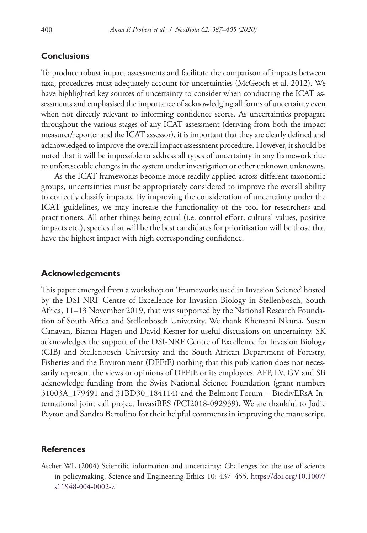## **Conclusions**

To produce robust impact assessments and facilitate the comparison of impacts between taxa, procedures must adequately account for uncertainties (McGeoch et al. 2012). We have highlighted key sources of uncertainty to consider when conducting the ICAT assessments and emphasised the importance of acknowledging all forms of uncertainty even when not directly relevant to informing confidence scores. As uncertainties propagate throughout the various stages of any ICAT assessment (deriving from both the impact measurer/reporter and the ICAT assessor), it is important that they are clearly defined and acknowledged to improve the overall impact assessment procedure. However, it should be noted that it will be impossible to address all types of uncertainty in any framework due to unforeseeable changes in the system under investigation or other unknown unknowns.

As the ICAT frameworks become more readily applied across different taxonomic groups, uncertainties must be appropriately considered to improve the overall ability to correctly classify impacts. By improving the consideration of uncertainty under the ICAT guidelines, we may increase the functionality of the tool for researchers and practitioners. All other things being equal (i.e. control effort, cultural values, positive impacts etc.), species that will be the best candidates for prioritisation will be those that have the highest impact with high corresponding confidence.

## **Acknowledgements**

This paper emerged from a workshop on 'Frameworks used in Invasion Science' hosted by the DSI-NRF Centre of Excellence for Invasion Biology in Stellenbosch, South Africa, 11–13 November 2019, that was supported by the National Research Foundation of South Africa and Stellenbosch University. We thank Khensani Nkuna, Susan Canavan, Bianca Hagen and David Kesner for useful discussions on uncertainty. SK acknowledges the support of the DSI-NRF Centre of Excellence for Invasion Biology (CIB) and Stellenbosch University and the South African Department of Forestry, Fisheries and the Environment (DFFtE) nothing that this publication does not necessarily represent the views or opinions of DFFtE or its employees. AFP, LV, GV and SB acknowledge funding from the Swiss National Science Foundation (grant numbers 31003A\_179491 and 31BD30\_184114) and the Belmont Forum – BiodivERsA International joint call project InvasiBES (PCI2018-092939). We are thankful to Jodie Peyton and Sandro Bertolino for their helpful comments in improving the manuscript.

## **References**

Ascher WL (2004) Scientific information and uncertainty: Challenges for the use of science in policymaking. Science and Engineering Ethics 10: 437–455. [https://doi.org/10.1007/](https://doi.org/10.1007/s11948-004-0002-z) [s11948-004-0002-z](https://doi.org/10.1007/s11948-004-0002-z)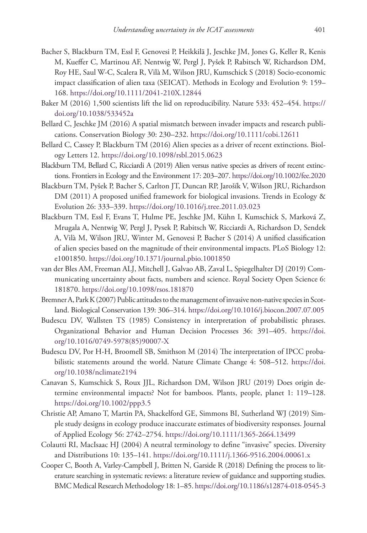- Bacher S, Blackburn TM, Essl F, Genovesi P, Heikkilä J, Jeschke JM, Jones G, Keller R, Kenis M, Kueffer C, Martinou AF, Nentwig W, Pergl J, Pyšek P, Rabitsch W, Richardson DM, Roy HE, Saul W-C, Scalera R, Vilà M, Wilson JRU, Kumschick S (2018) Socio-economic impact classification of alien taxa (SEICAT). Methods in Ecology and Evolution 9: 159– 168.<https://doi.org/10.1111/2041-210X.12844>
- Baker M (2016) 1,500 scientists lift the lid on reproducibility. Nature 533: 452–454. [https://](https://doi.org/10.1038/533452a) [doi.org/10.1038/533452a](https://doi.org/10.1038/533452a)
- Bellard C, Jeschke JM (2016) A spatial mismatch between invader impacts and research publications. Conservation Biology 30: 230–232. <https://doi.org/10.1111/cobi.12611>
- Bellard C, Cassey P, Blackburn TM (2016) Alien species as a driver of recent extinctions. Biology Letters 12.<https://doi.org/10.1098/rsbl.2015.0623>
- Blackburn TM, Bellard C, Ricciardi A (2019) Alien versus native species as drivers of recent extinctions. Frontiers in Ecology and the Environment 17: 203–207.<https://doi.org/10.1002/fee.2020>
- Blackburn TM, Pyšek P, Bacher S, Carlton JT, Duncan RP, Jarošík V, Wilson JRU, Richardson DM (2011) A proposed unified framework for biological invasions. Trends in Ecology & Evolution 26: 333–339. <https://doi.org/10.1016/j.tree.2011.03.023>
- Blackburn TM, Essl F, Evans T, Hulme PE, Jeschke JM, Kühn I, Kumschick S, Marková Z, Mrugala A, Nentwig W, Pergl J, Pysek P, Rabitsch W, Ricciardi A, Richardson D, Sendek A, Vilà M, Wilson JRU, Winter M, Genovesi P, Bacher S (2014) A unified classification of alien species based on the magnitude of their environmental impacts. PLoS Biology 12: e1001850.<https://doi.org/10.1371/journal.pbio.1001850>
- van der Bles AM, Freeman ALJ, Mitchell J, Galvao AB, Zaval L, Spiegelhalter DJ (2019) Communicating uncertainty about facts, numbers and science. Royal Society Open Science 6: 181870.<https://doi.org/10.1098/rsos.181870>
- Bremner A, Park K (2007) Public attitudes to the management of invasive non-native species in Scotland. Biological Conservation 139: 306–314.<https://doi.org/10.1016/j.biocon.2007.07.005>
- Budescu DV, Wallsten TS (1985) Consistency in interpretation of probabilistic phrases. Organizational Behavior and Human Decision Processes 36: 391–405. [https://doi.](https://doi.org/10.1016/0749-5978(85)90007-X) [org/10.1016/0749-5978\(85\)90007-X](https://doi.org/10.1016/0749-5978(85)90007-X)
- Budescu DV, Por H-H, Broomell SB, Smithson M (2014) The interpretation of IPCC probabilistic statements around the world. Nature Climate Change 4: 508–512. [https://doi.](https://doi.org/10.1038/nclimate2194) [org/10.1038/nclimate2194](https://doi.org/10.1038/nclimate2194)
- Canavan S, Kumschick S, Roux JJL, Richardson DM, Wilson JRU (2019) Does origin determine environmental impacts? Not for bamboos. Plants, people, planet 1: 119–128. <https://doi.org/10.1002/ppp3.5>
- Christie AP, Amano T, Martin PA, Shackelford GE, Simmons BI, Sutherland WJ (2019) Simple study designs in ecology produce inaccurate estimates of biodiversity responses. Journal of Applied Ecology 56: 2742–2754. <https://doi.org/10.1111/1365-2664.13499>
- Colautti RI, MacIsaac HJ (2004) A neutral terminology to define "invasive" species. Diversity and Distributions 10: 135–141.<https://doi.org/10.1111/j.1366-9516.2004.00061.x>
- Cooper C, Booth A, Varley-Campbell J, Britten N, Garside R (2018) Defining the process to literature searching in systematic reviews: a literature review of guidance and supporting studies. BMC Medical Research Methodology 18: 1–85.<https://doi.org/10.1186/s12874-018-0545-3>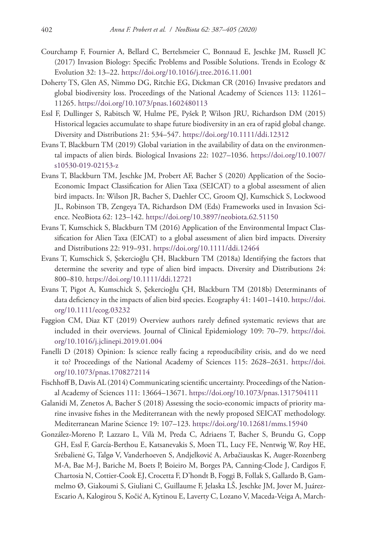- Courchamp F, Fournier A, Bellard C, Bertelsmeier C, Bonnaud E, Jeschke JM, Russell JC (2017) Invasion Biology: Specific Problems and Possible Solutions. Trends in Ecology & Evolution 32: 13–22. <https://doi.org/10.1016/j.tree.2016.11.001>
- Doherty TS, Glen AS, Nimmo DG, Ritchie EG, Dickman CR (2016) Invasive predators and global biodiversity loss. Proceedings of the National Academy of Sciences 113: 11261– 11265.<https://doi.org/10.1073/pnas.1602480113>
- Essl F, Dullinger S, Rabitsch W, Hulme PE, Pyšek P, Wilson JRU, Richardson DM (2015) Historical legacies accumulate to shape future biodiversity in an era of rapid global change. Diversity and Distributions 21: 534–547. <https://doi.org/10.1111/ddi.12312>
- Evans T, Blackburn TM (2019) Global variation in the availability of data on the environmental impacts of alien birds. Biological Invasions 22: 1027–1036. [https://doi.org/10.1007/](https://doi.org/10.1007/s10530-019-02153-z) [s10530-019-02153-z](https://doi.org/10.1007/s10530-019-02153-z)
- Evans T, Blackburn TM, Jeschke JM, Probert AF, Bacher S (2020) Application of the Socio-Economic Impact Classification for Alien Taxa (SEICAT) to a global assessment of alien bird impacts. In: Wilson JR, Bacher S, Daehler CC, Groom QJ, Kumschick S, Lockwood JL, Robinson TB, Zengeya TA, Richardson DM (Eds) Frameworks used in Invasion Science. NeoBiota 62: 123–142. <https://doi.org/10.3897/neobiota.62.51150>
- Evans T, Kumschick S, Blackburn TM (2016) Application of the Environmental Impact Classification for Alien Taxa (EICAT) to a global assessment of alien bird impacts. Diversity and Distributions 22: 919–931.<https://doi.org/10.1111/ddi.12464>
- Evans T, Kumschick S, Şekercioğlu ÇH, Blackburn TM (2018a) Identifying the factors that determine the severity and type of alien bird impacts. Diversity and Distributions 24: 800–810.<https://doi.org/10.1111/ddi.12721>
- Evans T, Pigot A, Kumschick S, Şekercioğlu ÇH, Blackburn TM (2018b) Determinants of data deficiency in the impacts of alien bird species. Ecography 41: 1401–1410. [https://doi.](https://doi.org/10.1111/ecog.03232) [org/10.1111/ecog.03232](https://doi.org/10.1111/ecog.03232)
- Faggion CM, Diaz KT (2019) Overview authors rarely defined systematic reviews that are included in their overviews. Journal of Clinical Epidemiology 109: 70–79. [https://doi.](https://doi.org/10.1016/j.jclinepi.2019.01.004) [org/10.1016/j.jclinepi.2019.01.004](https://doi.org/10.1016/j.jclinepi.2019.01.004)
- Fanelli D (2018) Opinion: Is science really facing a reproducibility crisis, and do we need it to? Proceedings of the National Academy of Sciences 115: 2628–2631. [https://doi.](https://doi.org/10.1073/pnas.1708272114) [org/10.1073/pnas.1708272114](https://doi.org/10.1073/pnas.1708272114)
- Fischhoff B, Davis AL (2014) Communicating scientific uncertainty. Proceedings of the National Academy of Sciences 111: 13664–13671.<https://doi.org/10.1073/pnas.1317504111>
- Galanidi M, Zenetos A, Bacher S (2018) Assessing the socio-economic impacts of priority marine invasive fishes in the Mediterranean with the newly proposed SEICAT methodology. Mediterranean Marine Science 19: 107–123.<https://doi.org/10.12681/mms.15940>
- González-Moreno P, Lazzaro L, Vilà M, Preda C, Adriaens T, Bacher S, Brundu G, Copp GH, Essl F, García-Berthou E, Katsanevakis S, Moen TL, Lucy FE, Nentwig W, Roy HE, Srėbalienė G, Talgø V, Vanderhoeven S, Andjelković A, Arbačiauskas K, Auger-Rozenberg M-A, Bae M-J, Bariche M, Boets P, Boieiro M, Borges PA, Canning-Clode J, Cardigos F, Chartosia N, Cottier-Cook EJ, Crocetta F, D'hondt B, Foggi B, Follak S, Gallardo B, Gammelmo Ø, Giakoumi S, Giuliani C, Guillaume F, Jelaska LŠ, Jeschke JM, Jover M, Juárez-Escario A, Kalogirou S, Kočić A, Kytinou E, Laverty C, Lozano V, Maceda-Veiga A, March-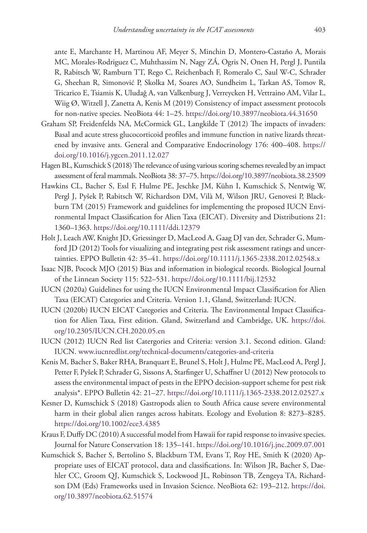ante E, Marchante H, Martinou AF, Meyer S, Minchin D, Montero-Castaño A, Morais MC, Morales-Rodriguez C, Muhthassim N, Nagy ZÁ, Ogris N, Onen H, Pergl J, Puntila R, Rabitsch W, Ramburn TT, Rego C, Reichenbach F, Romeralo C, Saul W-C, Schrader G, Sheehan R, Simonović P, Skolka M, Soares AO, Sundheim L, Tarkan AS, Tomov R, Tricarico E, Tsiamis K, Uludağ A, van Valkenburg J, Verreycken H, Vettraino AM, Vilar L, Wiig Ø, Witzell J, Zanetta A, Kenis M (2019) Consistency of impact assessment protocols for non-native species. NeoBiota 44: 1–25. <https://doi.org/10.3897/neobiota.44.31650>

- Graham SP, Freidenfelds NA, McCormick GL, Langkilde T (2012) The impacts of invaders: Basal and acute stress glucocorticoid profiles and immune function in native lizards threatened by invasive ants. General and Comparative Endocrinology 176: 400–408. [https://](https://doi.org/10.1016/j.ygcen.2011.12.027) [doi.org/10.1016/j.ygcen.2011.12.027](https://doi.org/10.1016/j.ygcen.2011.12.027)
- Hagen BL, Kumschick S (2018) The relevance of using various scoring schemes revealed by an impact assessment of feral mammals. NeoBiota 38: 37–75.<https://doi.org/10.3897/neobiota.38.23509>
- Hawkins CL, Bacher S, Essl F, Hulme PE, Jeschke JM, Kühn I, Kumschick S, Nentwig W, Pergl J, Pyšek P, Rabitsch W, Richardson DM, Vilà M, Wilson JRU, Genovesi P, Blackburn TM (2015) Framework and guidelines for implementing the proposed IUCN Environmental Impact Classification for Alien Taxa (EICAT). Diversity and Distributions 21: 1360–1363.<https://doi.org/10.1111/ddi.12379>
- Holt J, Leach AW, Knight JD, Griessinger D, MacLeod A, Gaag DJ van der, Schrader G, Mumford JD (2012) Tools for visualizing and integrating pest risk assessment ratings and uncertainties. EPPO Bulletin 42: 35–41. <https://doi.org/10.1111/j.1365-2338.2012.02548.x>
- Isaac NJB, Pocock MJO (2015) Bias and information in biological records. Biological Journal of the Linnean Society 115: 522–531. <https://doi.org/10.1111/bij.12532>
- IUCN (2020a) Guidelines for using the IUCN Environmental Impact Classification for Alien Taxa (EICAT) Categories and Criteria. Version 1.1, Gland, Switzerland: IUCN.
- IUCN (2020b) IUCN EICAT Categories and Criteria. The Environmental Impact Classification for Alien Taxa, First edition. Gland, Switzerland and Cambridge, UK. [https://doi.](https://doi.org/10.2305/IUCN.CH.2020.05.en) [org/10.2305/IUCN.CH.2020.05.en](https://doi.org/10.2305/IUCN.CH.2020.05.en)
- IUCN (2012) IUCN Red list Catergories and Criteria: version 3.1. Second edition. Gland: IUCN. www.iucnredlist.org/technical-documents/categories-and-criteria
- Kenis M, Bacher S, Baker RHA, Branquart E, Brunel S, Holt J, Hulme PE, MacLeod A, Pergl J, Petter F, Pyšek P, Schrader G, Sissons A, Starfinger U, Schaffner U (2012) New protocols to assess the environmental impact of pests in the EPPO decision-support scheme for pest risk analysis\*. EPPO Bulletin 42: 21–27.<https://doi.org/10.1111/j.1365-2338.2012.02527.x>
- Kesner D, Kumschick S (2018) Gastropods alien to South Africa cause severe environmental harm in their global alien ranges across habitats. Ecology and Evolution 8: 8273–8285. <https://doi.org/10.1002/ece3.4385>
- Kraus F, Duffy DC (2010) A successful model from Hawaii for rapid response to invasive species. Journal for Nature Conservation 18: 135–141. <https://doi.org/10.1016/j.jnc.2009.07.001>
- Kumschick S, Bacher S, Bertolino S, Blackburn TM, Evans T, Roy HE, Smith K (2020) Appropriate uses of EICAT protocol, data and classifications. In: Wilson JR, Bacher S, Daehler CC, Groom QJ, Kumschick S, Lockwood JL, Robinson TB, Zengeya TA, Richardson DM (Eds) Frameworks used in Invasion Science. NeoBiota 62: 193–212. [https://doi.](https://doi.org/10.3897/neobiota.62.51574) [org/10.3897/neobiota.62.51574](https://doi.org/10.3897/neobiota.62.51574)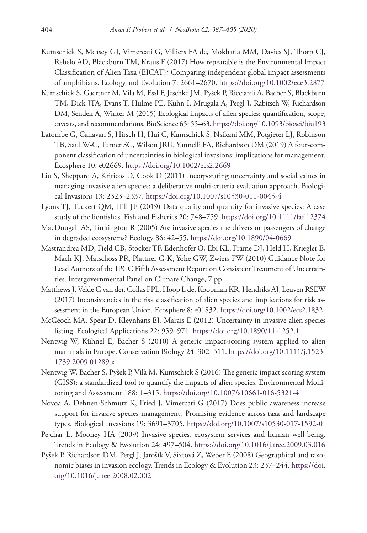- Kumschick S, Measey GJ, Vimercati G, Villiers FA de, Mokhatla MM, Davies SJ, Thorp CJ, Rebelo AD, Blackburn TM, Kraus F (2017) How repeatable is the Environmental Impact Classification of Alien Taxa (EICAT)? Comparing independent global impact assessments of amphibians. Ecology and Evolution 7: 2661–2670. <https://doi.org/10.1002/ece3.2877>
- Kumschick S, Gaertner M, Vila M, Essl F, Jeschke JM, Pyšek P, Ricciardi A, Bacher S, Blackburn TM, Dick JTA, Evans T, Hulme PE, Kuhn I, Mrugała A, Pergl J, Rabitsch W, Richardson DM, Sendek A, Winter M (2015) Ecological impacts of alien species: quantification, scope, caveats, and recommendations. BioScience 65: 55–63.<https://doi.org/10.1093/biosci/biu193>
- Latombe G, Canavan S, Hirsch H, Hui C, Kumschick S, Nsikani MM, Potgieter LJ, Robinson TB, Saul W-C, Turner SC, Wilson JRU, Yannelli FA, Richardson DM (2019) A four-component classification of uncertainties in biological invasions: implications for management. Ecosphere 10: e02669.<https://doi.org/10.1002/ecs2.2669>
- Liu S, Sheppard A, Kriticos D, Cook D (2011) Incorporating uncertainty and social values in managing invasive alien species: a deliberative multi-criteria evaluation approach. Biological Invasions 13: 2323–2337. <https://doi.org/10.1007/s10530-011-0045-4>
- Lyons TJ, Tuckett QM, Hill JE (2019) Data quality and quantity for invasive species: A case study of the lionfishes. Fish and Fisheries 20: 748–759. <https://doi.org/10.1111/faf.12374>
- MacDougall AS, Turkington R (2005) Are invasive species the drivers or passengers of change in degraded ecosystems? Ecology 86: 42–55.<https://doi.org/10.1890/04-0669>
- Mastrandrea MD, Field CB, Stocker TF, Edenhofer O, Ebi KL, Frame DJ, Held H, Kriegler E, Mach KJ, Matschoss PR, Plattner G-K, Yohe GW, Zwiers FW (2010) Guidance Note for Lead Authors of the IPCC Fifth Assessment Report on Consistent Treatment of Uncertainties. Intergovernmental Panel on Climate Change, 7 pp.
- Matthews J, Velde G van der, Collas FPL, Hoop L de, Koopman KR, Hendriks AJ, Leuven RSEW (2017) Inconsistencies in the risk classification of alien species and implications for risk assessment in the European Union. Ecosphere 8: e01832. <https://doi.org/10.1002/ecs2.1832>
- McGeoch MA, Spear D, Kleynhans EJ, Marais E (2012) Uncertainty in invasive alien species listing. Ecological Applications 22: 959–971. <https://doi.org/10.1890/11-1252.1>
- Nentwig W, Kühnel E, Bacher S (2010) A generic impact-scoring system applied to alien mammals in Europe. Conservation Biology 24: 302–311. [https://doi.org/10.1111/j.1523-](https://doi.org/10.1111/j.1523-1739.2009.01289.x) [1739.2009.01289.x](https://doi.org/10.1111/j.1523-1739.2009.01289.x)
- Nentwig W, Bacher S, Pyšek P, Vilà M, Kumschick S (2016) The generic impact scoring system (GISS): a standardized tool to quantify the impacts of alien species. Environmental Monitoring and Assessment 188: 1–315.<https://doi.org/10.1007/s10661-016-5321-4>
- Novoa A, Dehnen-Schmutz K, Fried J, Vimercati G (2017) Does public awareness increase support for invasive species management? Promising evidence across taxa and landscape types. Biological Invasions 19: 3691–3705.<https://doi.org/10.1007/s10530-017-1592-0>
- Pejchar L, Mooney HA (2009) Invasive species, ecosystem services and human well-being. Trends in Ecology & Evolution 24: 497–504. <https://doi.org/10.1016/j.tree.2009.03.016>
- Pyšek P, Richardson DM, Pergl J, Jarošík V, Sixtová Z, Weber E (2008) Geographical and taxonomic biases in invasion ecology. Trends in Ecology & Evolution 23: 237–244. [https://doi.](https://doi.org/10.1016/j.tree.2008.02.002) [org/10.1016/j.tree.2008.02.002](https://doi.org/10.1016/j.tree.2008.02.002)